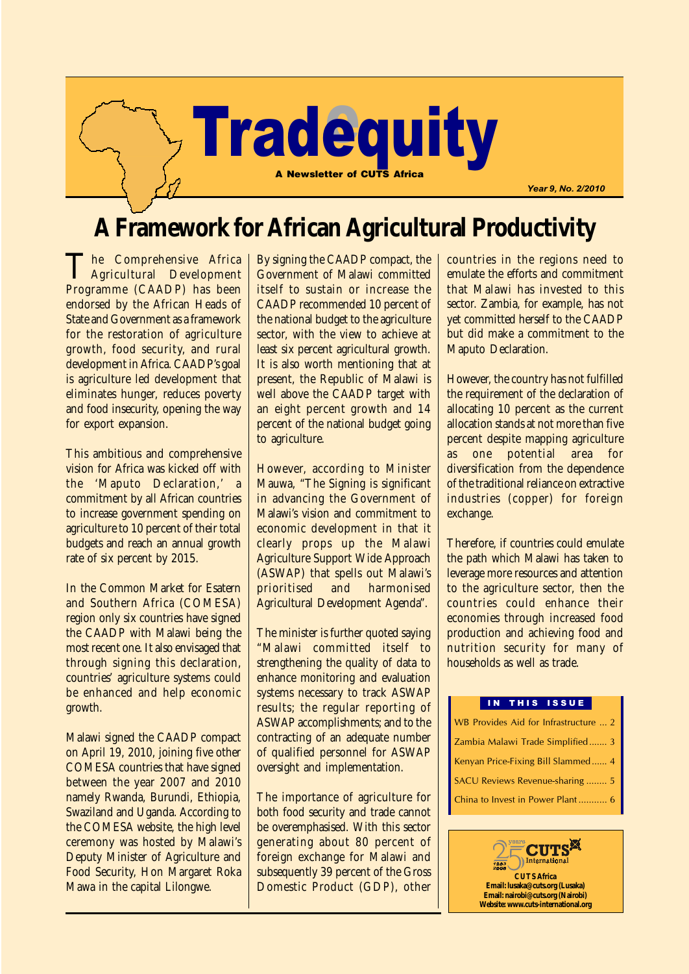

# **A Framework for African Agricultural Productivity**

The Comprehensive Africa Agricultural Development Programme (CAADP) has been endorsed by the African Heads of State and Government as a framework for the restoration of agriculture growth, food security, and rural development in Africa. CAADP's goal is agriculture led development that eliminates hunger, reduces poverty and food insecurity, opening the way for export expansion.

This ambitious and comprehensive vision for Africa was kicked off with the 'Maputo Declaration,' a commitment by all African countries to increase government spending on agriculture to 10 percent of their total budgets and reach an annual growth rate of six percent by 2015.

In the Common Market for Esatern and Southern Africa (COMESA) region only six countries have signed the CAADP with Malawi being the most recent one. It also envisaged that through signing this declaration, countries' agriculture systems could be enhanced and help economic growth.

Malawi signed the CAADP compact on April 19, 2010, joining five other COMESA countries that have signed between the year 2007 and 2010 namely Rwanda, Burundi, Ethiopia, Swaziland and Uganda. According to the COMESA website, the high level ceremony was hosted by Malawi's Deputy Minister of Agriculture and Food Security, Hon Margaret Roka Mawa in the capital Lilongwe.

By signing the CAADP compact, the Government of Malawi committed itself to sustain or increase the CAADP recommended 10 percent of the national budget to the agriculture sector, with the view to achieve at least six percent agricultural growth. It is also worth mentioning that at present, the Republic of Malawi is well above the CAADP target with an eight percent growth and 14 percent of the national budget going to agriculture.

However, according to Minister Mauwa, "The Signing is significant in advancing the Government of Malawi's vision and commitment to economic development in that it clearly props up the Malawi Agriculture Support Wide Approach (ASWAP) that spells out Malawi's prioritised and harmonised Agricultural Development Agenda".

The minister is further quoted saying "Malawi committed itself to strengthening the quality of data to enhance monitoring and evaluation systems necessary to track ASWAP results; the regular reporting of ASWAP accomplishments; and to the contracting of an adequate number of qualified personnel for ASWAP oversight and implementation.

The importance of agriculture for both food security and trade cannot be overemphasised. With this sector generating about 80 percent of foreign exchange for Malawi and subsequently 39 percent of the Gross Domestic Product (GDP), other countries in the regions need to emulate the efforts and commitment that Malawi has invested to this sector. Zambia, for example, has not yet committed herself to the CAADP but did make a commitment to the Maputo Declaration.

However, the country has not fulfilled the requirement of the declaration of allocating 10 percent as the current allocation stands at not more than five percent despite mapping agriculture<br>as one potential area for one potential area for diversification from the dependence of the traditional reliance on extractive industries (copper) for foreign exchange.

Therefore, if countries could emulate the path which Malawi has taken to leverage more resources and attention to the agriculture sector, then the countries could enhance their economies through increased food production and achieving food and nutrition security for many of households as well as trade.

#### IN THIS ISSUE

| WB Provides Aid for Infrastructure  2 |
|---------------------------------------|
| Zambia Malawi Trade Simplified 3      |
| Kenyan Price-Fixing Bill Slammed 4    |
| SACU Reviews Revenue-sharing 5        |
|                                       |

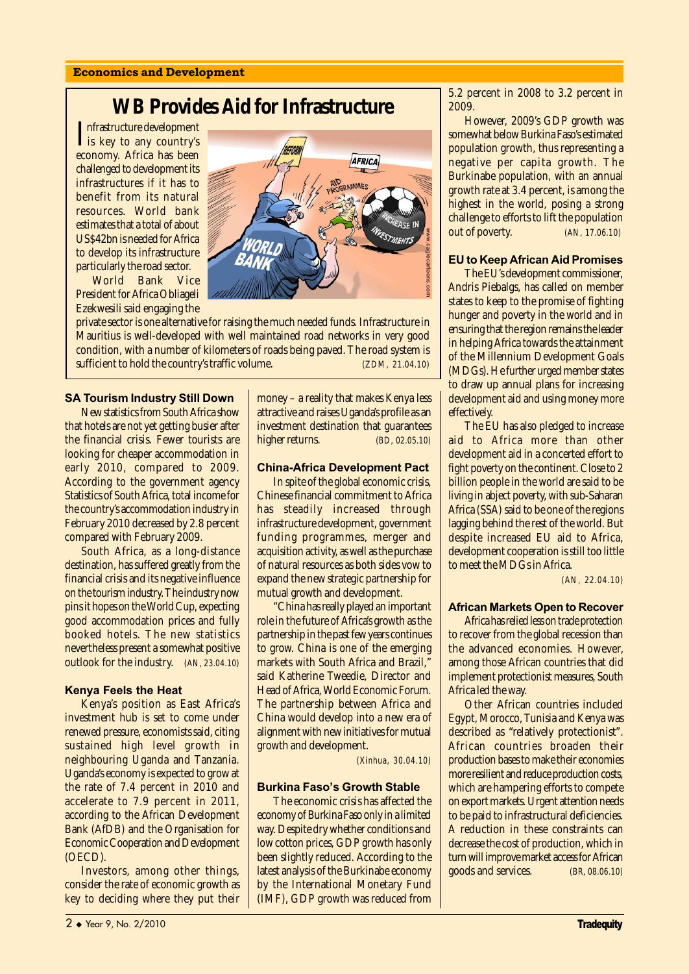#### Economics and Development

## **WB Provides Aid for Infrastructure**

Infrastructure development<br>
is key to any country's<br>
someone Africa has been is key to any country's economy. Africa has been challenged to development its infrastructures if it has to benefit from its natural resources. World bank estimates that a total of about US\$42bn is needed for Africa to develop its infrastructure particularly the road sector.

World Bank Vice President for Africa Obliageli Ezekwesili said engaging the



#### SA Tourism Industry Still Down

New statistics from South Africa show that hotels are not yet getting busier after the financial crisis. Fewer tourists are looking for cheaper accommodation in early 2010, compared to 2009. According to the government agency Statistics of South Africa, total income for the country's accommodation industry in February 2010 decreased by 2.8 percent compared with February 2009.

South Africa, as a long-distance destination, has suffered greatly from the financial crisis and its negative influence on the tourism industry. The industry now pins it hopes on the World Cup, expecting good accommodation prices and fully booked hotels. The new statistics nevertheless present a somewhat positive outlook for the industry. *(AN, 23.04.10)*

#### Kenya Feels the Heat

Kenya's position as East Africa's investment hub is set to come under renewed pressure, economists said, citing sustained high level growth in neighbouring Uganda and Tanzania. Uganda's economy is expected to grow at the rate of 7.4 percent in 2010 and accelerate to 7.9 percent in 2011, according to the African Development Bank (AfDB) and the Organisation for Economic Cooperation and Development (OECD).

Investors, among other things, consider the rate of economic growth as key to deciding where they put their money – a reality that makes Kenya less attractive and raises Uganda's profile as an investment destination that guarantees higher returns. *(BD, 02.05.10)*

AFRICA

#### China-Africa Development Pact

In spite of the global economic crisis, Chinese financial commitment to Africa has steadily increased through infrastructure development, government funding programmes, merger and acquisition activity, as well as the purchase of natural resources as both sides vow to expand the new strategic partnership for mutual growth and development.

"China has really played an important role in the future of Africa's growth as the partnership in the past few years continues to grow. China is one of the emerging markets with South Africa and Brazil. said Katherine Tweedie, Director and Head of Africa, World Economic Forum. The partnership between Africa and China would develop into a new era of alignment with new initiatives for mutual growth and development.

*(Xinhua, 30.04.10)*

#### **Burkina Faso's Growth Stable**

The economic crisis has affected the economy of Burkina Faso only in a limited way. Despite dry whether conditions and low cotton prices, GDP growth has only been slightly reduced. According to the latest analysis of the Burkinabe economy by the International Monetary Fund (IMF), GDP growth was reduced from 5.2 percent in 2008 to 3.2 percent in 2009.

However, 2009's GDP growth was somewhat below Burkina Faso's estimated population growth, thus representing a negative per capita growth. The Burkinabe population, with an annual growth rate at 3.4 percent, is among the highest in the world, posing a strong challenge to efforts to lift the population out of poverty. *(AN, 17.06.10)*

#### EU to Keep African Aid Promises

The EU's development commissioner, Andris Piebalgs, has called on member states to keep to the promise of fighting hunger and poverty in the world and in ensuring that the region remains the leader in helping Africa towards the attainment of the Millennium Development Goals (MDGs). He further urged member states to draw up annual plans for increasing development aid and using money more effectively.

The EU has also pledged to increase aid to Africa more than other development aid in a concerted effort to fight poverty on the continent. Close to 2 billion people in the world are said to be living in abject poverty, with sub-Saharan Africa (SSA) said to be one of the regions lagging behind the rest of the world. But despite increased EU aid to Africa, development cooperation is still too little to meet the MDGs in Africa.

*(AN, 22.04.10)*

#### African Markets Open to Recover

Africa has relied less on trade protection to recover from the global recession than the advanced economies. However, among those African countries that did implement protectionist measures, South Africa led the way.

Other African countries included Egypt, Morocco, Tunisia and Kenya was described as "relatively protectionist". African countries broaden their production bases to make their economies more resilient and reduce production costs, which are hampering efforts to compete on export markets. Urgent attention needs to be paid to infrastructural deficiencies. A reduction in these constraints can decrease the cost of production, which in turn will improve market access for African goods and services. *(BR, 08.06.10)*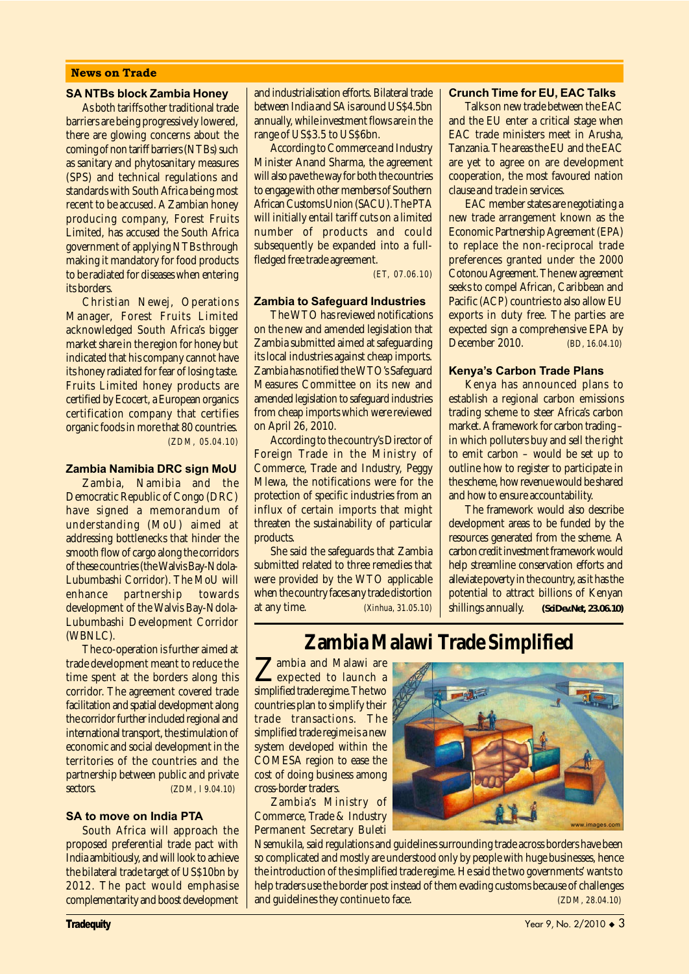#### News on Trade

#### SA NTBs block Zambia Honey

As both tariffs other traditional trade barriers are being progressively lowered, there are glowing concerns about the coming of non tariff barriers (NTBs) such as sanitary and phytosanitary measures (SPS) and technical regulations and standards with South Africa being most recent to be accused. A Zambian honey producing company, Forest Fruits Limited, has accused the South Africa government of applying NTBs through making it mandatory for food products to be radiated for diseases when entering its borders.

Christian Newej, Operations Manager, Forest Fruits Limited acknowledged South Africa's bigger market share in the region for honey but indicated that his company cannot have its honey radiated for fear of losing taste. Fruits Limited honey products are certified by Ecocert, a European organics certification company that certifies organic foods in more that 80 countries. *(ZDM, 05.04.10)*

#### Zambia Namibia DRC sign MoU

Zambia, Namibia and the Democratic Republic of Congo (DRC) have signed a memorandum of understanding (MoU) aimed at addressing bottlenecks that hinder the smooth flow of cargo along the corridors of these countries (the Walvis Bay-Ndola-Lubumbashi Corridor). The MoU will enhance partnership towards development of the Walvis Bay-Ndola-Lubumbashi Development Corridor (WBNLC).

The co-operation is further aimed at trade development meant to reduce the time spent at the borders along this corridor. The agreement covered trade facilitation and spatial development along the corridor further included regional and international transport, the stimulation of economic and social development in the territories of the countries and the partnership between public and private sectors. *(ZDM, l 9.04.10)*

#### SA to move on India PTA

South Africa will approach the proposed preferential trade pact with India ambitiously, and will look to achieve the bilateral trade target of US\$10bn by 2012. The pact would emphasise complementarity and boost development and industrialisation efforts. Bilateral trade between India and SA is around US\$4.5bn annually, while investment flows are in the range of US\$3.5 to US\$6bn.

According to Commerce and Industry Minister Anand Sharma, the agreement will also pave the way for both the countries to engage with other members of Southern African Customs Union (SACU). The PTA will initially entail tariff cuts on a limited number of products and could subsequently be expanded into a fullfledged free trade agreement.

*(ET, 07.06.10)*

#### Zambia to Safeguard Industries

The WTO has reviewed notifications on the new and amended legislation that Zambia submitted aimed at safeguarding its local industries against cheap imports. Zambia has notified the WTO's Safeguard Measures Committee on its new and amended legislation to safeguard industries from cheap imports which were reviewed on April 26, 2010.

According to the country's Director of Foreign Trade in the Ministry of Commerce, Trade and Industry, Peggy Mlewa, the notifications were for the protection of specific industries from an influx of certain imports that might threaten the sustainability of particular products.

She said the safeguards that Zambia submitted related to three remedies that were provided by the WTO applicable when the country faces any trade distortion at any time. *(Xinhua, 31.05.10)*

#### Crunch Time for EU, EAC Talks

Talks on new trade between the EAC and the EU enter a critical stage when EAC trade ministers meet in Arusha, Tanzania. The areas the EU and the EAC are yet to agree on are development cooperation, the most favoured nation clause and trade in services.

EAC member states are negotiating a new trade arrangement known as the Economic Partnership Agreement (EPA) to replace the non-reciprocal trade preferences granted under the 2000 Cotonou Agreement. The new agreement seeks to compel African, Caribbean and Pacific (ACP) countries to also allow EU exports in duty free. The parties are expected sign a comprehensive EPA by December 2010. *(BD, 16.04.10)*

#### **Kenya's Carbon Trade Plans**

Kenya has announced plans to establish a regional carbon emissions trading scheme to steer Africa's carbon market. A framework for carbon trading – in which polluters buy and sell the right to emit carbon – would be set up to outline how to register to participate in the scheme, how revenue would be shared and how to ensure accountability.

The framework would also describe development areas to be funded by the resources generated from the scheme. A carbon credit investment framework would help streamline conservation efforts and alleviate poverty in the country, as it has the potential to attract billions of Kenyan shillings annually. *(SciDev.Net, 23.06.10)*

## **Zambia Malawi Trade Simplified**

Zambia and Malawi are<br>expected to launch a simplified trade regime. The two countries plan to simplify their trade transactions. The simplified trade regime is a new system developed within the COMESA region to ease the cost of doing business among cross-border traders.

Zambia's Ministry of Commerce, Trade & Industry Permanent Secretary Buleti

www.images.com

Nsemukila, said regulations and guidelines surrounding trade across borders have been so complicated and mostly are understood only by people with huge businesses, hence the introduction of the simplified trade regime. He said the two governments' wants to help traders use the border post instead of them evading customs because of challenges and guidelines they continue to face. *(ZDM, 28.04.10)*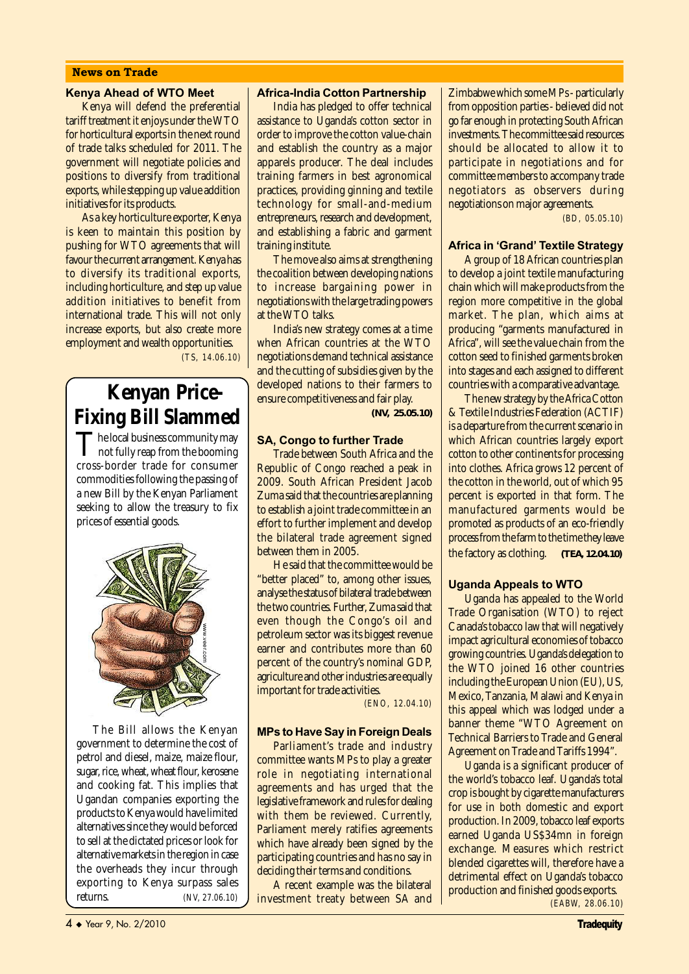#### News on Trade

#### Kenya Ahead of WTO Meet

Kenya will defend the preferential tariff treatment it enjoys under the WTO for horticultural exports in the next round of trade talks scheduled for 2011. The government will negotiate policies and positions to diversify from traditional exports, while stepping up value addition initiatives for its products.

As a key horticulture exporter, Kenya is keen to maintain this position by pushing for WTO agreements that will favour the current arrangement. Kenya has to diversify its traditional exports, including horticulture, and step up value addition initiatives to benefit from international trade. This will not only increase exports, but also create more employment and wealth opportunities. *(TS, 14.06.10)*

# **Kenyan Price-Fixing Bill Slammed**

The local business community may  $\mathbf I$  not fully reap from the booming cross-border trade for consumer commodities following the passing of a new Bill by the Kenyan Parliament seeking to allow the treasury to fix prices of essential goods.



The Bill allows the Kenyan government to determine the cost of petrol and diesel, maize, maize flour, sugar, rice, wheat, wheat flour, kerosene and cooking fat. This implies that Ugandan companies exporting the products to Kenya would have limited alternatives since they would be forced to sell at the dictated prices or look for alternative markets in the region in case the overheads they incur through exporting to Kenya surpass sales<br>returns.  $\sqrt{N} = N \cdot 27.06.10$ returns. *(NV, 27.06.10)*

#### Africa-India Cotton Partnership

India has pledged to offer technical assistance to Uganda's cotton sector in order to improve the cotton value-chain and establish the country as a major apparels producer. The deal includes training farmers in best agronomical practices, providing ginning and textile technology for small-and-medium entrepreneurs, research and development, and establishing a fabric and garment training institute.

The move also aims at strengthening the coalition between developing nations to increase bargaining power in negotiations with the large trading powers at the WTO talks.

India's new strategy comes at a time when African countries at the WTO negotiations demand technical assistance and the cutting of subsidies given by the developed nations to their farmers to ensure competitiveness and fair play. *(NV, 25.05.10)*

#### SA, Congo to further Trade

Trade between South Africa and the Republic of Congo reached a peak in 2009. South African President Jacob Zuma said that the countries are planning to establish a joint trade committee in an effort to further implement and develop the bilateral trade agreement signed between them in 2005.

He said that the committee would be "better placed" to, among other issues, analyse the status of bilateral trade between the two countries. Further, Zuma said that even though the Congo's oil and petroleum sector was its biggest revenue earner and contributes more than 60 percent of the country's nominal GDP, agriculture and other industries are equally important for trade activities.

*(ENO, 12.04.10)*

#### MPs to Have Say in Foreign Deals

Parliament's trade and industry committee wants MPs to play a greater role in negotiating international agreements and has urged that the legislative framework and rules for dealing with them be reviewed. Currently, Parliament merely ratifies agreements which have already been signed by the participating countries and has no say in deciding their terms and conditions.

A recent example was the bilateral investment treaty between SA and

Zimbabwe which some MPs - particularly from opposition parties - believed did not go far enough in protecting South African investments. The committee said resources should be allocated to allow it to participate in negotiations and for committee members to accompany trade negotiators as observers during negotiations on major agreements.

*(BD, 05.05.10)*

#### **Africa in 'Grand' Textile Strategy**

A group of 18 African countries plan to develop a joint textile manufacturing chain which will make products from the region more competitive in the global market. The plan, which aims at producing "garments manufactured in Africa", will see the value chain from the cotton seed to finished garments broken into stages and each assigned to different countries with a comparative advantage.

The new strategy by the Africa Cotton & Textile Industries Federation (ACTIF) is a departure from the current scenario in which African countries largely export cotton to other continents for processing into clothes. Africa grows 12 percent of the cotton in the world, out of which 95 percent is exported in that form. The manufactured garments would be promoted as products of an eco-friendly process from the farm to the time they leave the factory as clothing. *(TEA, 12.04.10)*

#### Uganda Appeals to WTO

Uganda has appealed to the World Trade Organisation (WTO) to reject Canada's tobacco law that will negatively impact agricultural economies of tobacco growing countries. Uganda's delegation to the WTO joined 16 other countries including the European Union (EU), US, Mexico, Tanzania, Malawi and Kenya in this appeal which was lodged under a banner theme "WTO Agreement on Technical Barriers to Trade and General Agreement on Trade and Tariffs 1994".

Uganda is a significant producer of the world's tobacco leaf. Uganda's total crop is bought by cigarette manufacturers for use in both domestic and export production. In 2009, tobacco leaf exports earned Uganda US\$34mn in foreign exchange. Measures which restrict blended cigarettes will, therefore have a detrimental effect on Uganda's tobacco production and finished goods exports. *(EABW, 28.06.10)*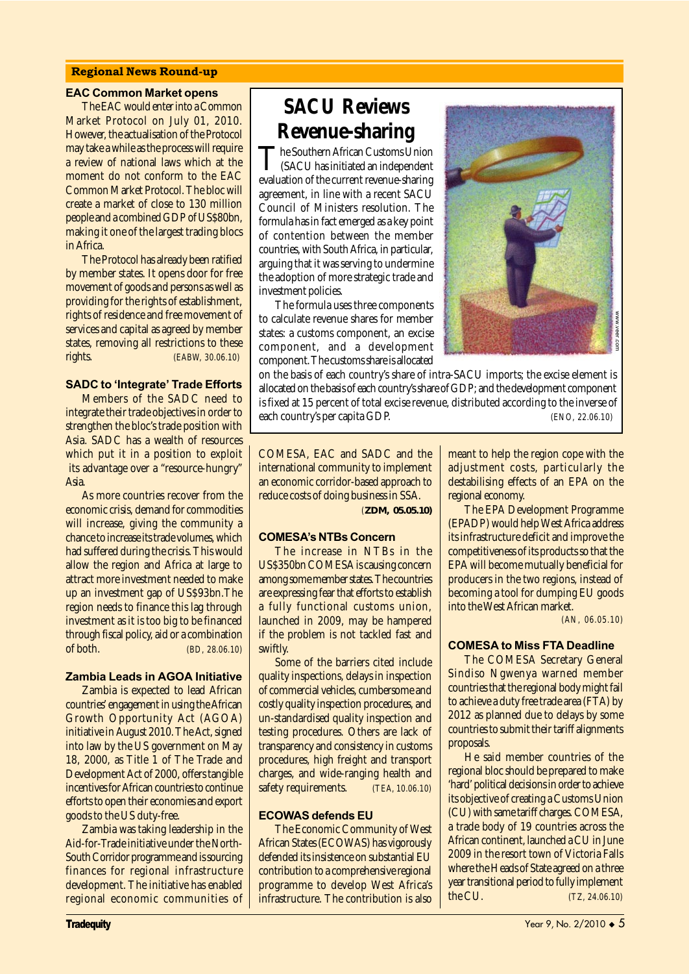#### Regional News Round-up

#### EAC Common Market opens

The EAC would enter into a Common Market Protocol on July 01, 2010. However, the actualisation of the Protocol may take a while as the process will require a review of national laws which at the moment do not conform to the EAC Common Market Protocol. The bloc will create a market of close to 130 million people and a combined GDP of US\$80bn, making it one of the largest trading blocs in Africa.

The Protocol has already been ratified by member states. It opens door for free movement of goods and persons as well as providing for the rights of establishment, rights of residence and free movement of services and capital as agreed by member states, removing all restrictions to these rights. *(EABW, 30.06.10)*

#### **SADC to 'Integrate' Trade Efforts**

Members of the SADC need to integrate their trade objectives in order to strengthen the bloc's trade position with Asia. SADC has a wealth of resources which put it in a position to exploit its advantage over a "resource-hungry" Asia.

As more countries recover from the economic crisis, demand for commodities will increase, giving the community a chance to increase its trade volumes, which had suffered during the crisis. This would allow the region and Africa at large to attract more investment needed to make up an investment gap of US\$93bn.The region needs to finance this lag through investment as it is too big to be financed through fiscal policy, aid or a combination of both. *(BD, 28.06.10)*

#### Zambia Leads in AGOA Initiative

Zambia is expected to lead African countries' engagement in using the African Growth Opportunity Act (AGOA) initiative in August 2010. The Act, signed into law by the US government on May 18, 2000, as Title 1 of The Trade and Development Act of 2000, offers tangible incentives for African countries to continue efforts to open their economies and export goods to the US duty-free.

Zambia was taking leadership in the Aid-for-Trade initiative under the North-South Corridor programme and is sourcing finances for regional infrastructure development. The initiative has enabled regional economic communities of

# **SACU Reviews Revenue-sharing**

The Southern African Customs Union<br>
(SACU has initiated an independent) evaluation of the current revenue-sharing agreement, in line with a recent SACU Council of Ministers resolution. The formula has in fact emerged as a key point of contention between the member countries, with South Africa, in particular, arguing that it was serving to undermine the adoption of more strategic trade and investment policies.

The formula uses three components to calculate revenue shares for member states: a customs component, an excise component, and a development component. The customs share is allocated



on the basis of each country's share of intra-SACU imports; the excise element is allocated on the basis of each country's share of GDP; and the development component is fixed at 15 percent of total excise revenue, distributed according to the inverse of each country's per capita GDP. *(ENO, 22.06.10)*

COMESA, EAC and SADC and the international community to implement an economic corridor-based approach to reduce costs of doing business in SSA. *(ZDM, 05.05.10)*

#### **COMESA's NTBs Concern**

The increase in NTBs in the US\$350bn COMESA is causing concern among some member states. The countries are expressing fear that efforts to establish a fully functional customs union, launched in 2009, may be hampered if the problem is not tackled fast and swiftly.

Some of the barriers cited include quality inspections, delays in inspection of commercial vehicles, cumbersome and costly quality inspection procedures, and un-standardised quality inspection and testing procedures. Others are lack of transparency and consistency in customs procedures, high freight and transport charges, and wide-ranging health and safety requirements. *(TEA, 10.06.10)*

#### ECOWAS defends EU

The Economic Community of West African States (ECOWAS) has vigorously defended its insistence on substantial EU contribution to a comprehensive regional programme to develop West Africa's infrastructure. The contribution is also meant to help the region cope with the adjustment costs, particularly the destabilising effects of an EPA on the regional economy.

The EPA Development Programme (EPADP) would help West Africa address its infrastructure deficit and improve the competitiveness of its products so that the EPA will become mutually beneficial for producers in the two regions, instead of becoming a tool for dumping EU goods into the West African market.

*(AN, 06.05.10)*

#### COMESA to Miss FTA Deadline

The COMESA Secretary General Sindiso Ngwenya warned member countries that the regional body might fail to achieve a duty free trade area (FTA) by 2012 as planned due to delays by some countries to submit their tariff alignments proposals.

He said member countries of the regional bloc should be prepared to make 'hard' political decisions in order to achieve its objective of creating a Customs Union (CU) with same tariff charges. COMESA, a trade body of 19 countries across the African continent, launched a CU in June 2009 in the resort town of Victoria Falls where the Heads of State agreed on a three year transitional period to fully implement Fact Software the Header of the inverse of the said members of the series of *(ENO, 22.06.10)*<br>
meant to help the region cope with the destablising effects of an EPA on the destablising effects of an EPA on the destablisi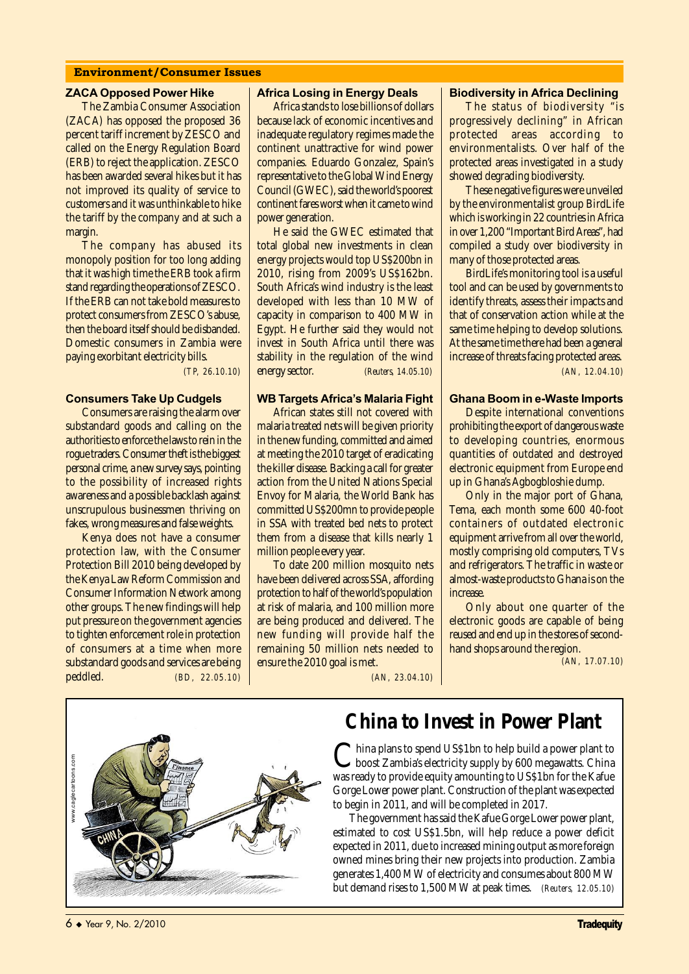#### Environment/Consumer Issues

#### ZACA Opposed Power Hike

The Zambia Consumer Association (ZACA) has opposed the proposed 36 percent tariff increment by ZESCO and called on the Energy Regulation Board (ERB) to reject the application. ZESCO has been awarded several hikes but it has not improved its quality of service to customers and it was unthinkable to hike the tariff by the company and at such a margin.

The company has abused its monopoly position for too long adding that it was high time the ERB took a firm stand regarding the operations of ZESCO. If the ERB can not take bold measures to protect consumers from ZESCO's abuse, then the board itself should be disbanded. Domestic consumers in Zambia were paying exorbitant electricity bills.

 *(TP, 26.10.10)*

#### Consumers Take Up Cudgels

Consumers are raising the alarm over substandard goods and calling on the authorities to enforce the laws to rein in the rogue traders. Consumer theft is the biggest personal crime, a new survey says, pointing to the possibility of increased rights awareness and a possible backlash against unscrupulous businessmen thriving on fakes, wrong measures and false weights.

Kenya does not have a consumer protection law, with the Consumer Protection Bill 2010 being developed by the Kenya Law Reform Commission and Consumer Information Network among other groups. The new findings will help put pressure on the government agencies to tighten enforcement role in protection of consumers at a time when more substandard goods and services are being peddled. *(BD, 22.05.10)*

#### Africa Losing in Energy Deals

Africa stands to lose billions of dollars because lack of economic incentives and inadequate regulatory regimes made the continent unattractive for wind power companies. Eduardo Gonzalez, Spain's representative to the Global Wind Energy Council (GWEC), said the world's poorest continent fares worst when it came to wind power generation.

He said the GWEC estimated that total global new investments in clean energy projects would top US\$200bn in 2010, rising from 2009's US\$162bn. South Africa's wind industry is the least developed with less than 10 MW of capacity in comparison to 400 MW in Egypt. He further said they would not invest in South Africa until there was stability in the regulation of the wind energy sector. *(Reuters, 14.05.10)*

#### **WB Targets Africa's Malaria Fight**

African states still not covered with malaria treated nets will be given priority in the new funding, committed and aimed at meeting the 2010 target of eradicating the killer disease. Backing a call for greater action from the United Nations Special Envoy for Malaria, the World Bank has committed US\$200mn to provide people in SSA with treated bed nets to protect them from a disease that kills nearly 1 million people every year.

To date 200 million mosquito nets have been delivered across SSA, affording protection to half of the world's population at risk of malaria, and 100 million more are being produced and delivered. The new funding will provide half the remaining 50 million nets needed to ensure the 2010 goal is met.

#### Biodiversity in Africa Declining

The status of biodiversity "is progressively declining" in African protected areas according to environmentalists. Over half of the protected areas investigated in a study showed degrading biodiversity.

These negative figures were unveiled by the environmentalist group BirdLife which is working in 22 countries in Africa in over 1,200 "Important Bird Areas", had compiled a study over biodiversity in many of those protected areas.

BirdLife's monitoring tool is a useful tool and can be used by governments to identify threats, assess their impacts and that of conservation action while at the same time helping to develop solutions. At the same time there had been a general increase of threats facing protected areas. *(AN, 12.04.10)*

#### Ghana Boom in e-Waste Imports

Despite international conventions prohibiting the export of dangerous waste to developing countries, enormous quantities of outdated and destroyed electronic equipment from Europe end up in Ghana's Agbogbloshie dump.

Only in the major port of Ghana, Tema, each month some 600 40-foot containers of outdated electronic equipment arrive from all over the world, mostly comprising old computers, TVs and refrigerators. The traffic in waste or almost-waste products to Ghana is on the increase.

Only about one quarter of the electronic goods are capable of being reused and end up in the stores of secondhand shops around the region.

*(AN, 17.07.10)*

*(AN, 23.04.10)*



### **China to Invest in Power Plant**

China plans to spend US\$1bn to help build a power plant to<br>boost Zambia's electricity supply by 600 megawatts. China<br>we need to a maximum continuous US\$1bn for the Kefee was ready to provide equity amounting to US\$1bn for the Kafue Gorge Lower power plant. Construction of the plant was expected to begin in 2011, and will be completed in 2017.

The government has said the Kafue Gorge Lower power plant, estimated to cost US\$1.5bn, will help reduce a power deficit expected in 2011, due to increased mining output as more foreign owned mines bring their new projects into production. Zambia generates 1,400 MW of electricity and consumes about 800 MW but demand rises to 1,500 MW at peak times. *(Reuters, 12.05.10)*

6 <sup>u</sup> Year 9, No. 2/2010 Tradequity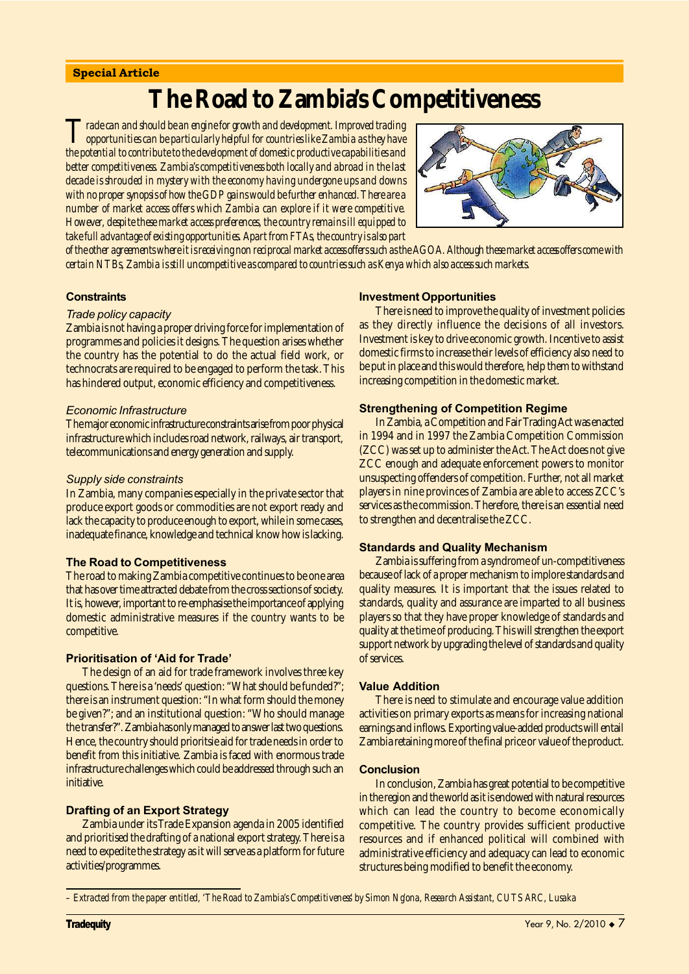#### Special Article

# **The Road to Zambia's Competitiveness**

*Trade can and should be an engine for growth and development. Improved trading opportunities can be particularly helpful for countries like Zambia as they have the potential to contribute to the development of domestic productive capabilities and better competitiveness. Zambia's competitiveness both locally and abroad in the last decade is shrouded in mystery with the economy having undergone ups and downs with no proper synopsis of how the GDP gains would be further enhanced. There are a number of market access offers which Zambia can explore if it were competitive. However, despite these market access preferences, the country remains ill equipped to take full advantage of existing opportunities. Apart from FTAs, the country is also part*



*of the other agreements where it is receiving non reciprocal market access offers such as the AGOA. Although these market access offers come with certain NTBs, Zambia is still uncompetitive as compared to countries such as Kenya which also access such markets.* 

#### **Constraints**

#### Trade policy capacity

Zambia is not having a proper driving force for implementation of programmes and policies it designs. The question arises whether the country has the potential to do the actual field work, or technocrats are required to be engaged to perform the task. This has hindered output, economic efficiency and competitiveness.

#### Economic Infrastructure

The major economic infrastructure constraints arise from poor physical infrastructure which includes road network, railways, air transport, telecommunications and energy generation and supply.

#### Supply side constraints

In Zambia, many companies especially in the private sector that produce export goods or commodities are not export ready and lack the capacity to produce enough to export, while in some cases, inadequate finance, knowledge and technical know how is lacking.

#### The Road to Competitiveness

The road to making Zambia competitive continues to be one area that has over time attracted debate from the cross sections of society. It is, however, important to re-emphasise the importance of applying domestic administrative measures if the country wants to be competitive.

#### **Prioritisation of 'Aid for Trade'**

The design of an aid for trade framework involves three key questions. There is a 'needs' question: "What should be funded?"; there is an instrument question: "In what form should the money be given?"; and an institutional question: "Who should manage the transfer?". Zambia has only managed to answer last two questions. Hence, the country should prioritsie aid for trade needs in order to benefit from this initiative. Zambia is faced with enormous trade infrastructure challenges which could be addressed through such an initiative.

#### Drafting of an Export Strategy

Zambia under its Trade Expansion agenda in 2005 identified and prioritised the drafting of a national export strategy. There is a need to expedite the strategy as it will serve as a platform for future activities/programmes.

#### Investment Opportunities

There is need to improve the quality of investment policies as they directly influence the decisions of all investors. Investment is key to drive economic growth. Incentive to assist domestic firms to increase their levels of efficiency also need to be put in place and this would therefore, help them to withstand increasing competition in the domestic market.

#### Strengthening of Competition Regime

In Zambia, a Competition and Fair Trading Act was enacted in 1994 and in 1997 the Zambia Competition Commission (ZCC) was set up to administer the Act. The Act does not give ZCC enough and adequate enforcement powers to monitor unsuspecting offenders of competition. Further, not all market players in nine provinces of Zambia are able to access ZCC's services as the commission. Therefore, there is an essential need to strengthen and decentralise the ZCC.

#### Standards and Quality Mechanism

Zambia is suffering from a syndrome of un-competitiveness because of lack of a proper mechanism to implore standards and quality measures. It is important that the issues related to standards, quality and assurance are imparted to all business players so that they have proper knowledge of standards and quality at the time of producing. This will strengthen the export support network by upgrading the level of standards and quality of services.

#### Value Addition

There is need to stimulate and encourage value addition activities on primary exports as means for increasing national earnings and inflows. Exporting value-added products will entail Zambia retaining more of the final price or value of the product.

#### **Conclusion**

In conclusion, Zambia has great potential to be competitive in the region and the world as it is endowed with natural resources which can lead the country to become economically competitive. The country provides sufficient productive resources and if enhanced political will combined with administrative efficiency and adequacy can lead to economic structures being modified to benefit the economy.

*<sup>–</sup> Extracted from the paper entitled, 'The Road to Zambia's Competitiveness' by Simon Ng'ona, Research Assistant, CUTS ARC, Lusaka*